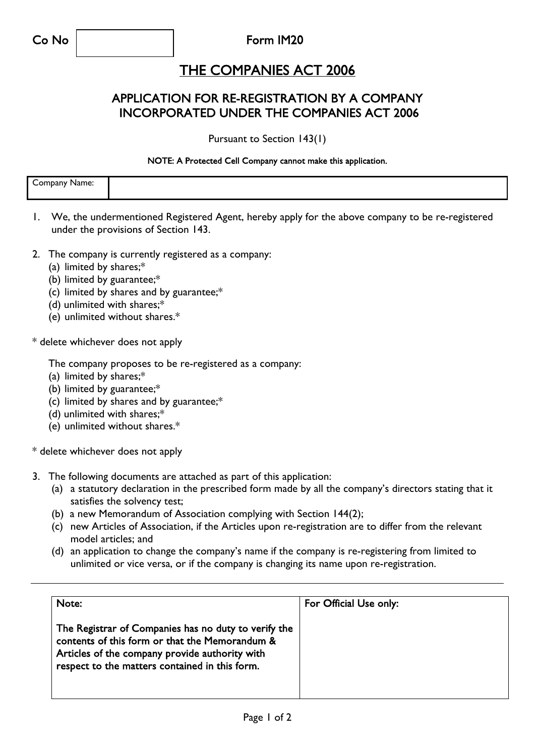Co No Form IM20

## THE COMPANIES ACT 2006

### APPLICATION FOR RE-REGISTRATION BY A COMPANY INCORPORATED UNDER THE COMPANIES ACT 2006

Pursuant to Section 143(1)

#### NOTE: A Protected Cell Company cannot make this application.

| -<br>$      -$<br>$\sim$ $\sim$<br>Name:<br>ndany |  |
|---------------------------------------------------|--|
|                                                   |  |
|                                                   |  |

- 1. We, the undermentioned Registered Agent, hereby apply for the above company to be re-registered under the provisions of Section 143.
- 2. The company is currently registered as a company:
	- (a) limited by shares;\*
	- (b) limited by guarantee;\*
	- (c) limited by shares and by guarantee;\*
	- (d) unlimited with shares;\*
	- (e) unlimited without shares.\*

\* delete whichever does not apply

The company proposes to be re-registered as a company:

- (a) limited by shares;\*
- (b) limited by guarantee;\*
- (c) limited by shares and by guarantee;\*
- (d) unlimited with shares;\*
- (e) unlimited without shares.\*

\* delete whichever does not apply

- 3. The following documents are attached as part of this application:
	- (a) a statutory declaration in the prescribed form made by all the company's directors stating that it satisfies the solvency test;
	- (b) a new Memorandum of Association complying with Section 144(2);
	- (c) new Articles of Association, if the Articles upon re-registration are to differ from the relevant model articles; and
	- (d) an application to change the company's name if the company is re-registering from limited to unlimited or vice versa, or if the company is changing its name upon re-registration.

| Note:                                                                                                                                                                                                      | For Official Use only: |  |
|------------------------------------------------------------------------------------------------------------------------------------------------------------------------------------------------------------|------------------------|--|
| The Registrar of Companies has no duty to verify the<br>contents of this form or that the Memorandum &<br>Articles of the company provide authority with<br>respect to the matters contained in this form. |                        |  |